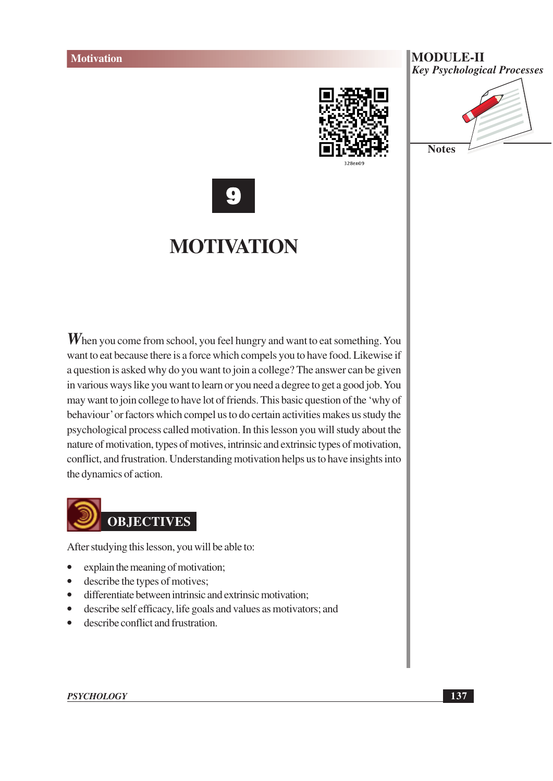







# **MOTIVATION**

 $W$ hen you come from school, you feel hungry and want to eat something. You want to eat because there is a force which compels you to have food. Likewise if a question is asked why do you want to join a college? The answer can be given in various ways like you want to learn or you need a degree to get a good job. You may want to join college to have lot of friends. This basic question of the 'why of behaviour' or factors which compel us to do certain activities makes us study the psychological process called motivation. In this lesson you will study about the nature of motivation, types of motives, intrinsic and extrinsic types of motivation, conflict, and frustration. Understanding motivation helps us to have insights into the dynamics of action.



After studying this lesson, you will be able to:

- explain the meaning of motivation;  $\bullet$
- describe the types of motives;  $\bullet$
- differentiate between intrinsic and extrinsic motivation;
- describe self efficacy, life goals and values as motivators; and  $\bullet$
- describe conflict and frustration.  $\bullet$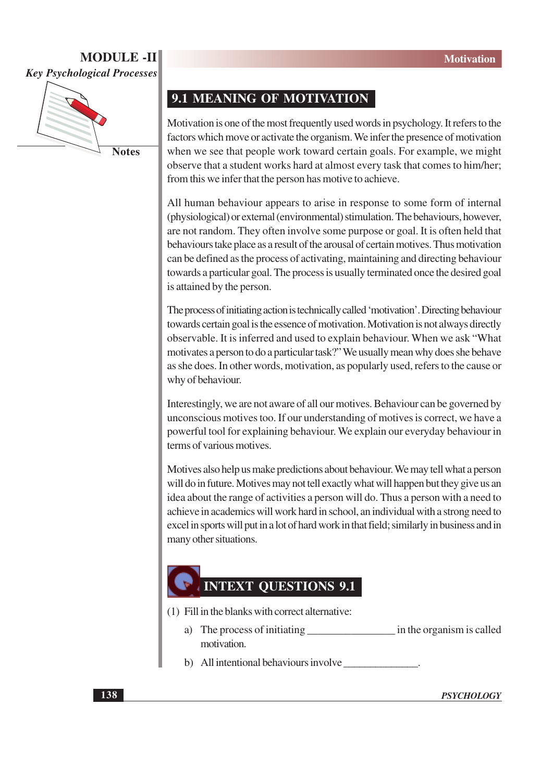

**Notes** 

#### 9.1 MEANING OF MOTIVATION

Motivation is one of the most frequently used words in psychology. It refers to the factors which move or activate the organism. We infer the presence of motivation when we see that people work toward certain goals. For example, we might observe that a student works hard at almost every task that comes to him/her; from this we infer that the person has motive to achieve.

All human behaviour appears to arise in response to some form of internal (physiological) or external (environmental) stimulation. The behaviours, however, are not random. They often involve some purpose or goal. It is often held that behaviours take place as a result of the arousal of certain motives. Thus motivation can be defined as the process of activating, maintaining and directing behaviour towards a particular goal. The process is usually terminated once the desired goal is attained by the person.

The process of initiating action is technically called 'motivation'. Directing behaviour towards certain goal is the essence of motivation. Motivation is not always directly observable. It is inferred and used to explain behaviour. When we ask "What motivates a person to do a particular task?" We usually mean why does she behave as she does. In other words, motivation, as popularly used, refers to the cause or why of behaviour.

Interestingly, we are not aware of all our motives. Behaviour can be governed by unconscious motives too. If our understanding of motives is correct, we have a powerful tool for explaining behaviour. We explain our everyday behaviour in terms of various motives.

Motives also help us make predictions about behaviour. We may tell what a person will do in future. Motives may not tell exactly what will happen but they give us an idea about the range of activities a person will do. Thus a person with a need to achieve in academics will work hard in school, an individual with a strong need to excel in sports will put in a lot of hard work in that field; similarly in business and in many other situations.

## **INTEXT OUESTIONS 9.1**

- (1) Fill in the blanks with correct alternative:
	- in the organism is called a) The process of initiating motivation.
	- b) All intentional behaviours involve

**PSYCHOLOGY**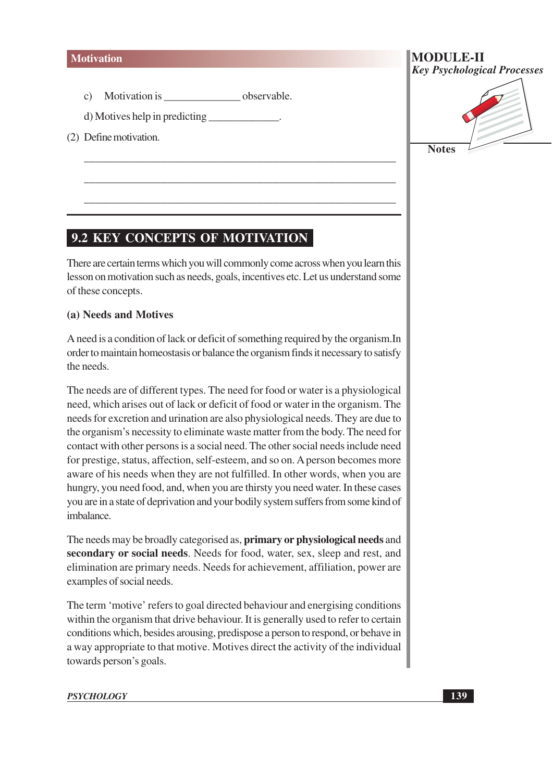Motivation is \_\_\_\_\_\_\_\_\_\_\_\_\_\_\_\_\_\_\_\_\_\_\_\_observable.  $\mathbf{c})$ 

d) Motives help in predicting

(2) Define motivation.

# **MODULE-II Key Psychological Processes Notes**

# **9.2 KEY CONCEPTS OF MOTIVATION**

There are certain terms which you will commonly come across when you learn this lesson on motivation such as needs, goals, incentives etc. Let us understand some of these concepts.

#### (a) Needs and Motives

A need is a condition of lack or deficit of something required by the organism. In order to maintain homeostasis or balance the organism finds it necessary to satisfy the needs.

The needs are of different types. The need for food or water is a physiological need, which arises out of lack or deficit of food or water in the organism. The needs for excretion and urination are also physiological needs. They are due to the organism's necessity to eliminate waste matter from the body. The need for contact with other persons is a social need. The other social needs include need for prestige, status, affection, self-esteem, and so on. A person becomes more aware of his needs when they are not fulfilled. In other words, when you are hungry, you need food, and, when you are thirsty you need water. In these cases you are in a state of deprivation and your bodily system suffers from some kind of imbalance.

The needs may be broadly categorised as, **primary or physiological needs** and secondary or social needs. Needs for food, water, sex, sleep and rest, and elimination are primary needs. Needs for achievement, affiliation, power are examples of social needs.

The term 'motive' refers to goal directed behaviour and energising conditions within the organism that drive behaviour. It is generally used to refer to certain conditions which, besides arousing, predispose a person to respond, or behave in a way appropriate to that motive. Motives direct the activity of the individual towards person's goals.

#### **PSYCHOLOGY**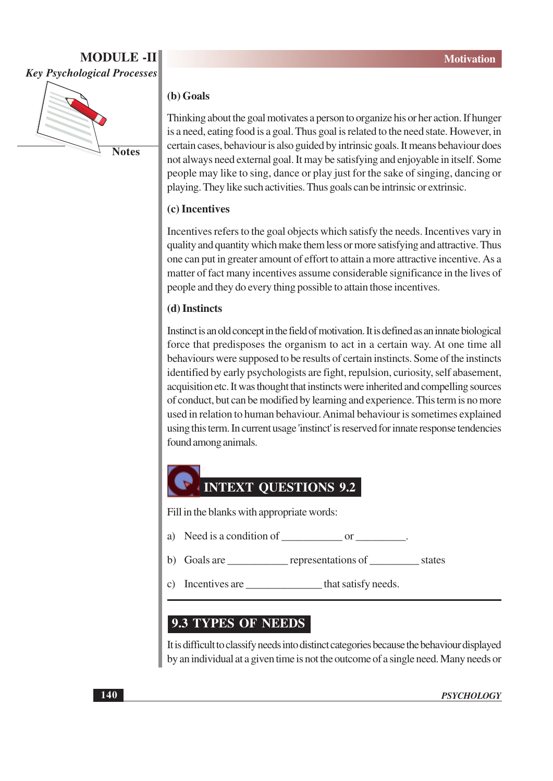

#### (b) Goals

Thinking about the goal motivates a person to organize his or her action. If hunger is a need, eating food is a goal. Thus goal is related to the need state. However, in certain cases, behaviour is also guided by intrinsic goals. It means behaviour does not always need external goal. It may be satisfying and enjoyable in itself. Some people may like to sing, dance or play just for the sake of singing, dancing or playing. They like such activities. Thus goals can be intrinsic or extrinsic.

#### (c) Incentives

Incentives refers to the goal objects which satisfy the needs. Incentives vary in quality and quantity which make them less or more satisfying and attractive. Thus one can put in greater amount of effort to attain a more attractive incentive. As a matter of fact many incentives assume considerable significance in the lives of people and they do every thing possible to attain those incentives.

#### (d) Instincts

Instinct is an old concept in the field of motivation. It is defined as an innate biological force that predisposes the organism to act in a certain way. At one time all behaviours were supposed to be results of certain instincts. Some of the instincts identified by early psychologists are fight, repulsion, curiosity, self abasement, acquisition etc. It was thought that instincts were inherited and compelling sources of conduct, but can be modified by learning and experience. This term is no more used in relation to human behaviour. Animal behaviour is sometimes explained using this term. In current usage 'instinct' is reserved for innate response tendencies found among animals.



Fill in the blanks with appropriate words:

- Need is a condition of or the condition of the condition of the condition of the condition of the condition of the condition of the condition of the condition of the condition of the condition of the condition of the condi a)
- b)
- Incentives are that satisfy needs.  $\mathcal{C}$

#### **9.3 TYPES OF NEEDS**

It is difficult to classify needs into distinct categories because the behaviour displayed by an individual at a given time is not the outcome of a single need. Many needs or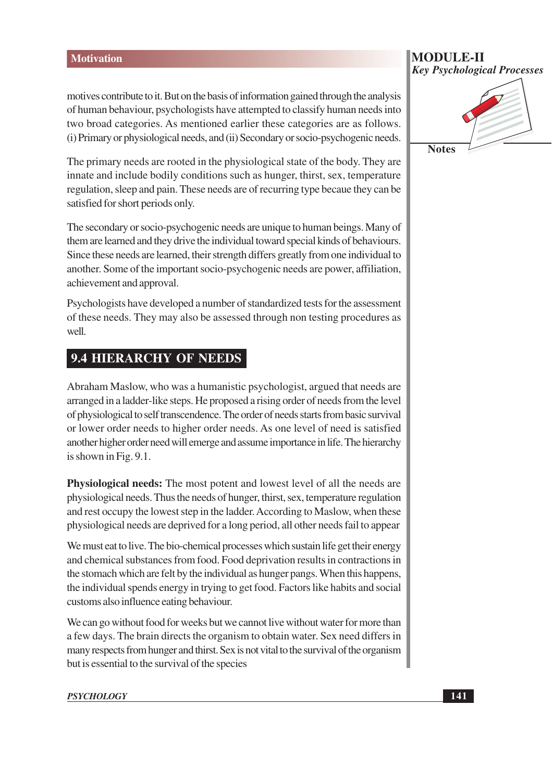motives contribute to it. But on the basis of information gained through the analysis of human behaviour, psychologists have attempted to classify human needs into two broad categories. As mentioned earlier these categories are as follows. (i) Primary or physiological needs, and (ii) Secondary or socio-psychogenic needs.

The primary needs are rooted in the physiological state of the body. They are innate and include bodily conditions such as hunger, thirst, sex, temperature regulation, sleep and pain. These needs are of recurring type becaue they can be satisfied for short periods only.

The secondary or socio-psychogenic needs are unique to human beings. Many of them are learned and they drive the individual toward special kinds of behaviours. Since these needs are learned, their strength differs greatly from one individual to another. Some of the important socio-psychogenic needs are power, affiliation, achievement and approval.

Psychologists have developed a number of standardized tests for the assessment of these needs. They may also be assessed through non testing procedures as well.

#### **9.4 HIERARCHY OF NEEDS**

Abraham Maslow, who was a humanistic psychologist, argued that needs are arranged in a ladder-like steps. He proposed a rising order of needs from the level of physiological to self transcendence. The order of needs starts from basic survival or lower order needs to higher order needs. As one level of need is satisfied another higher order need will emerge and assume importance in life. The hierarchy is shown in Fig.  $9.1$ .

**Physiological needs:** The most potent and lowest level of all the needs are physiological needs. Thus the needs of hunger, thirst, sex, temperature regulation and rest occupy the lowest step in the ladder. According to Maslow, when these physiological needs are deprived for a long period, all other needs fail to appear

We must eat to live. The bio-chemical processes which sustain life get their energy and chemical substances from food. Food deprivation results in contractions in the stomach which are felt by the individual as hunger pangs. When this happens, the individual spends energy in trying to get food. Factors like habits and social customs also influence eating behaviour.

We can go without food for weeks but we cannot live without water for more than a few days. The brain directs the organism to obtain water. Sex need differs in many respects from hunger and thirst. Sex is not vital to the survival of the organism but is essential to the survival of the species

#### **MODULE-II Key Psychological Processes**

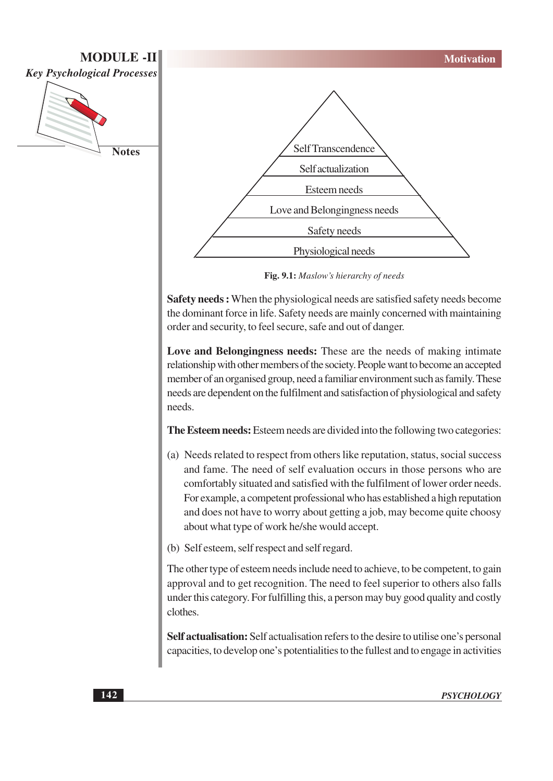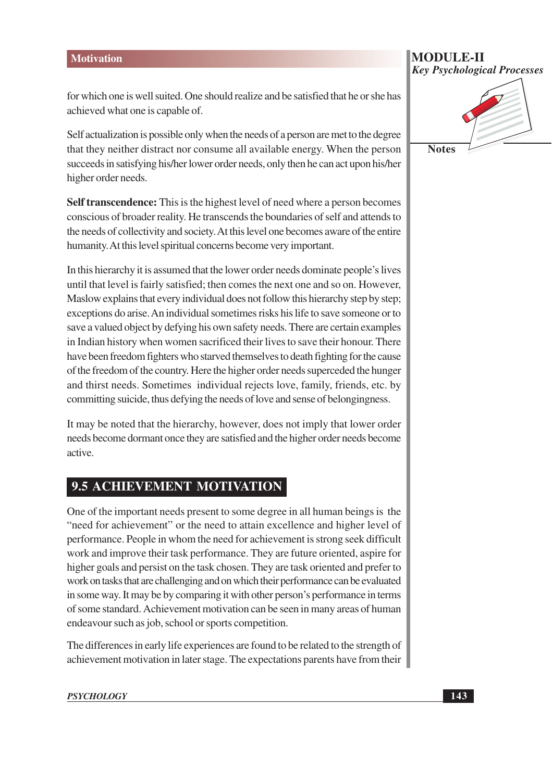for which one is well suited. One should realize and be satisfied that he or she has achieved what one is capable of.

Self actualization is possible only when the needs of a person are met to the degree that they neither distract nor consume all available energy. When the person succeeds in satisfying his/her lower order needs, only then he can act upon his/her higher order needs.

**Self transcendence:** This is the highest level of need where a person becomes conscious of broader reality. He transcends the boundaries of self and attends to the needs of collectivity and society. At this level one becomes aware of the entire humanity. At this level spiritual concerns become very important.

In this hierarchy it is assumed that the lower order needs dominate people's lives until that level is fairly satisfied; then comes the next one and so on. However, Maslow explains that every individual does not follow this hierarchy step by step; exceptions do arise. An individual sometimes risks his life to save someone or to save a valued object by defying his own safety needs. There are certain examples in Indian history when women sacrificed their lives to save their honour. There have been freedom fighters who starved themselves to death fighting for the cause of the freedom of the country. Here the higher order needs superceded the hunger and thirst needs. Sometimes individual rejects love, family, friends, etc. by committing suicide, thus defying the needs of love and sense of belongingness.

It may be noted that the hierarchy, however, does not imply that lower order needs become dormant once they are satisfied and the higher order needs become active.

## 9.5 ACHIEVEMENT MOTIVATION

One of the important needs present to some degree in all human beings is the "need for achievement" or the need to attain excellence and higher level of performance. People in whom the need for achievement is strong seek difficult work and improve their task performance. They are future oriented, aspire for higher goals and persist on the task chosen. They are task oriented and prefer to work on tasks that are challenging and on which their performance can be evaluated in some way. It may be by comparing it with other person's performance in terms of some standard. Achievement motivation can be seen in many areas of human endeavour such as job, school or sports competition.

The differences in early life experiences are found to be related to the strength of achievement motivation in later stage. The expectations parents have from their

## **MODULE-II Key Psychological Processes**

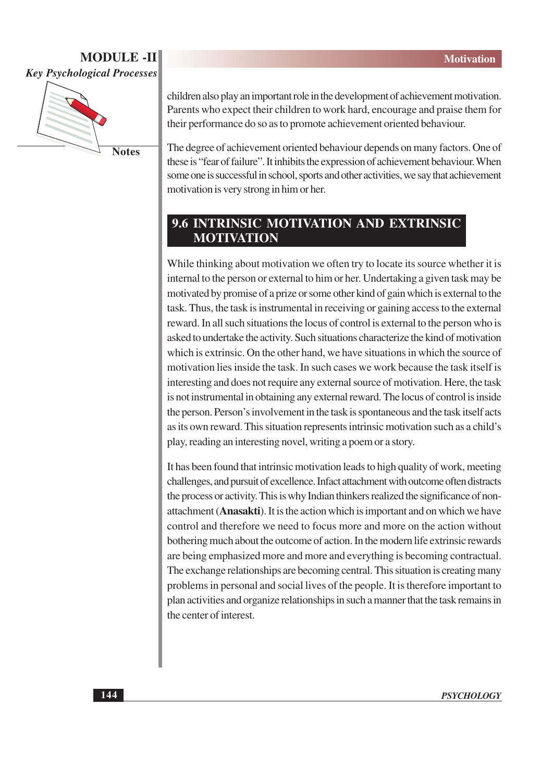

**Notes** 

children also play an important role in the development of achievement motivation. Parents who expect their children to work hard, encourage and praise them for their performance do so as to promote achievement oriented behaviour.

The degree of achievement oriented behaviour depends on many factors. One of these is "fear of failure". It inhibits the expression of achievement behaviour. When some one is successful in school, sports and other activities, we say that achievement motivation is very strong in him or her.

## **9.6 INTRINSIC MOTIVATION AND EXTRINSIC MOTIVATION**

While thinking about motivation we often try to locate its source whether it is internal to the person or external to him or her. Undertaking a given task may be motivated by promise of a prize or some other kind of gain which is external to the task. Thus, the task is instrumental in receiving or gaining access to the external reward. In all such situations the locus of control is external to the person who is asked to undertake the activity. Such situations characterize the kind of motivation which is extrinsic. On the other hand, we have situations in which the source of motivation lies inside the task. In such cases we work because the task itself is interesting and does not require any external source of motivation. Here, the task is not instrumental in obtaining any external reward. The locus of control is inside the person. Person's involvement in the task is spontaneous and the task itself acts as its own reward. This situation represents intrinsic motivation such as a child's play, reading an interesting novel, writing a poem or a story.

It has been found that intrinsic motivation leads to high quality of work, meeting challenges, and pursuit of excellence. Infact attachment with outcome often distracts the process or activity. This is why Indian thinkers realized the significance of nonattachment (Anasakti). It is the action which is important and on which we have control and therefore we need to focus more and more on the action without bothering much about the outcome of action. In the modern life extrinsic rewards are being emphasized more and more and everything is becoming contractual. The exchange relationships are becoming central. This situation is creating many problems in personal and social lives of the people. It is therefore important to plan activities and organize relationships in such a manner that the task remains in the center of interest.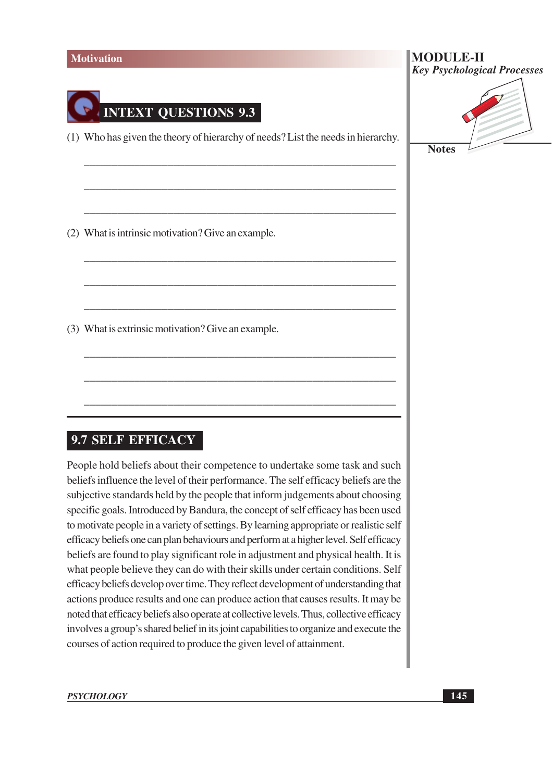

**Notes** 

#### 9.7 SELF EFFICACY

People hold beliefs about their competence to undertake some task and such beliefs influence the level of their performance. The self efficacy beliefs are the subjective standards held by the people that inform judgements about choosing specific goals. Introduced by Bandura, the concept of self efficacy has been used to motivate people in a variety of settings. By learning appropriate or realistic self efficacy beliefs one can plan behaviours and perform at a higher level. Self efficacy beliefs are found to play significant role in adjustment and physical health. It is what people believe they can do with their skills under certain conditions. Self efficacy beliefs develop over time. They reflect development of understanding that actions produce results and one can produce action that causes results. It may be noted that efficacy beliefs also operate at collective levels. Thus, collective efficacy involves a group's shared belief in its joint capabilities to organize and execute the courses of action required to produce the given level of attainment.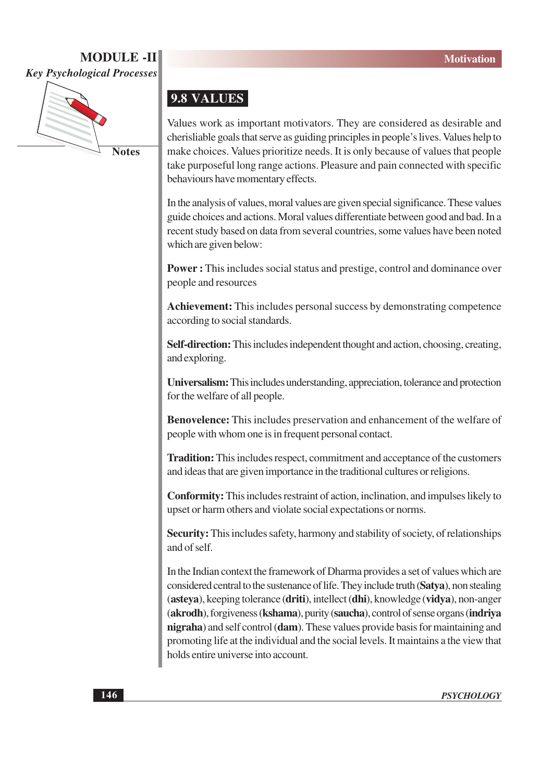

**Notes** 

#### 9.8 VALUES

Values work as important motivators. They are considered as desirable and cherisliable goals that serve as guiding principles in people's lives. Values help to make choices. Values prioritize needs. It is only because of values that people take purposeful long range actions. Pleasure and pain connected with specific behaviours have momentary effects.

In the analysis of values, moral values are given special significance. These values guide choices and actions. Moral values differentiate between good and bad. In a recent study based on data from several countries, some values have been noted which are given below:

**Power:** This includes social status and prestige, control and dominance over people and resources

Achievement: This includes personal success by demonstrating competence according to social standards.

**Self-direction:** This includes independent thought and action, choosing, creating, and exploring.

Universalism: This includes understanding, appreciation, tolerance and protection for the welfare of all people.

**Benovelence:** This includes preservation and enhancement of the welfare of people with whom one is in frequent personal contact.

**Tradition:** This includes respect, commitment and acceptance of the customers and ideas that are given importance in the traditional cultures or religions.

**Conformity:** This includes restraint of action, inclination, and impulses likely to upset or harm others and violate social expectations or norms.

**Security:** This includes safety, harmony and stability of society, of relationships and of self

In the Indian context the framework of Dharma provides a set of values which are considered central to the sustenance of life. They include truth (Satva), non stealing (asteya), keeping tolerance (driti), intellect (dhi), knowledge (vidya), non-anger (akrodh), forgiveness (kshama), purity (saucha), control of sense organs (indriya nigraha) and self control (dam). These values provide basis for maintaining and promoting life at the individual and the social levels. It maintains a the view that holds entire universe into account.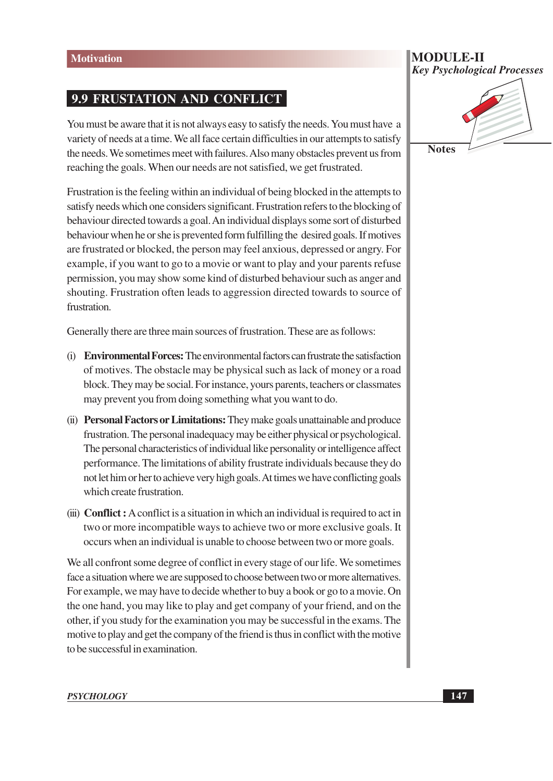#### **9.9 FRUSTATION AND CONFLICT**

You must be aware that it is not always easy to satisfy the needs. You must have a variety of needs at a time. We all face certain difficulties in our attempts to satisfy the needs. We sometimes meet with failures. Also many obstacles prevent us from reaching the goals. When our needs are not satisfied, we get frustrated.

Frustration is the feeling within an individual of being blocked in the attempts to satisfy needs which one considers significant. Frustration refers to the blocking of behaviour directed towards a goal. An individual displays some sort of disturbed behaviour when he or she is prevented form fulfilling the desired goals. If motives are frustrated or blocked, the person may feel anxious, depressed or angry. For example, if you want to go to a movie or want to play and your parents refuse permission, you may show some kind of disturbed behaviour such as anger and shouting. Frustration often leads to aggression directed towards to source of frustration.

Generally there are three main sources of frustration. These are as follows:

- (i) Environmental Forces: The environmental factors can frustrate the satisfaction of motives. The obstacle may be physical such as lack of money or a road block. They may be social. For instance, yours parents, teachers or classmates may prevent you from doing something what you want to do.
- (ii) Personal Factors or Limitations: They make goals unattainable and produce frustration. The personal inadequacy may be either physical or psychological. The personal characteristics of individual like personality or intelligence affect performance. The limitations of ability frustrate individuals because they do not let him or her to achieve very high goals. At times we have conflicting goals which create frustration.
- (iii) **Conflict**: A conflict is a situation in which an individual is required to act in two or more incompatible ways to achieve two or more exclusive goals. It occurs when an individual is unable to choose between two or more goals.

We all confront some degree of conflict in every stage of our life. We sometimes face a situation where we are supposed to choose between two or more alternatives. For example, we may have to decide whether to buy a book or go to a movie. On the one hand, you may like to play and get company of your friend, and on the other, if you study for the examination you may be successful in the exams. The motive to play and get the company of the friend is thus in conflict with the motive to be successful in examination.

# **Key Psychological Processes**

**Notes** 

**MODULE-II**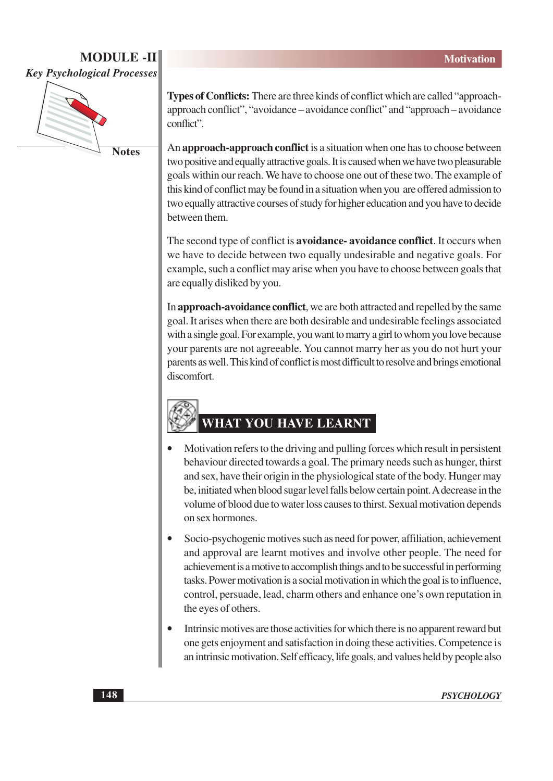

**Notes** 

Types of Conflicts: There are three kinds of conflict which are called "approachapproach conflict", "avoidance – avoidance conflict" and "approach – avoidance conflict"

An approach-approach conflict is a situation when one has to choose between two positive and equally attractive goals. It is caused when we have two pleasurable goals within our reach. We have to choose one out of these two. The example of this kind of conflict may be found in a situation when you are offered admission to two equally attractive courses of study for higher education and you have to decide between them.

The second type of conflict is **avoidance**-**avoidance** conflict. It occurs when we have to decide between two equally undesirable and negative goals. For example, such a conflict may arise when you have to choose between goals that are equally disliked by you.

In approach-avoidance conflict, we are both attracted and repelled by the same goal. It arises when there are both desirable and undesirable feelings associated with a single goal. For example, you want to marry a girl to whom you love because your parents are not agreeable. You cannot marry her as you do not hurt your parents as well. This kind of conflict is most difficult to resolve and brings emotional discomfort.

# WHAT YOU HAVE LEARNT

- Motivation refers to the driving and pulling forces which result in persistent behaviour directed towards a goal. The primary needs such as hunger, thirst and sex, have their origin in the physiological state of the body. Hunger may be, initiated when blood sugar level falls below certain point. A decrease in the volume of blood due to water loss causes to thirst. Sexual motivation depends on sex hormones.
- $\bullet$ Socio-psychogenic motives such as need for power, affiliation, achievement and approval are learnt motives and involve other people. The need for achievement is a motive to accomplish things and to be successful in performing tasks. Power motivation is a social motivation in which the goal is to influence, control, persuade, lead, charm others and enhance one's own reputation in the eyes of others.
- Intrinsic motives are those activities for which there is no apparent reward but one gets enjoyment and satisfaction in doing these activities. Competence is an intrinsic motivation. Self efficacy, life goals, and values held by people also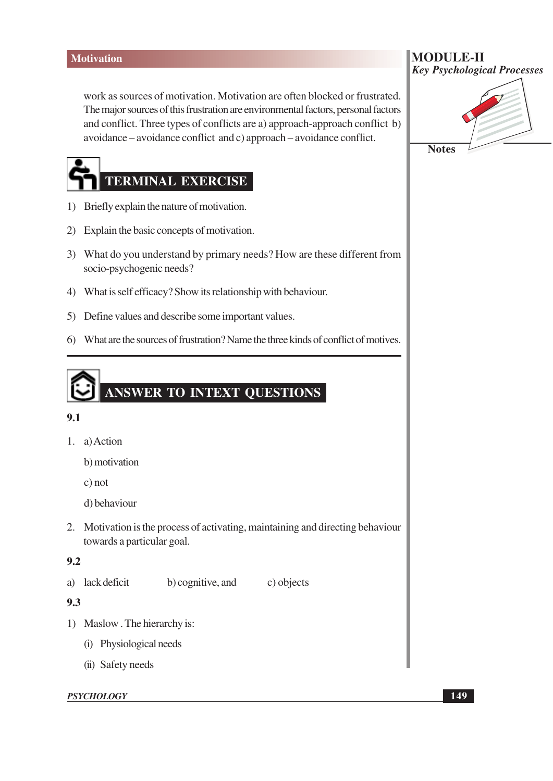work as sources of motivation. Motivation are often blocked or frustrated. The major sources of this frustration are environmental factors, personal factors and conflict. Three types of conflicts are a) approach-approach conflict b) avoidance – avoidance conflict and c) approach – avoidance conflict.

# **TERMINAL EXERCISE**

- 1) Briefly explain the nature of motivation.
- 2) Explain the basic concepts of motivation.
- 3) What do you understand by primary needs? How are these different from socio-psychogenic needs?
- 4) What is self efficacy? Show its relationship with behaviour.
- 5) Define values and describe some important values.
- 6) What are the sources of frustration? Name the three kinds of conflict of motives.

# ANSWER TO INTEXT QUESTIONS

#### $9.1$

1. a) Action

b) motivation

 $c)$  not

d) behaviour

2. Motivation is the process of activating, maintaining and directing behaviour towards a particular goal.

#### $9.2$

a) lack deficit b) cognitive, and

#### 9.3

- 1) Maslow. The hierarchy is:
	- (i) Physiological needs
	- (ii) Safety needs

#### **PSYCHOLOGY**

**MODULE-II Key Psychological Processes** 

**Notes** 

c) objects

**149**